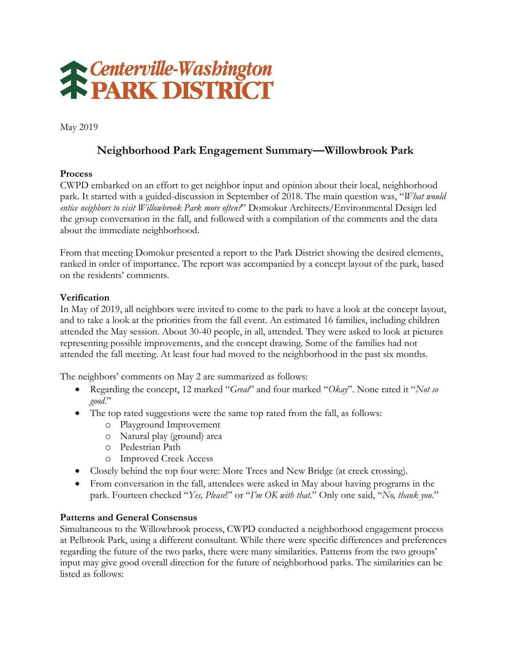

May 2019

# **Neighborhood Park Engagement Summary—Willowbrook Park**

### **Process**

CWPD embarked on an effort to get neighbor input and opinion about their local, neighborhood park. It started with a guided-discussion in September of 2018. The main question was, "*What would entice neighbors to visit Willowbrook Park more often?*" Domokur Architects/Environmental Design led the group conversation in the fall, and followed with a compilation of the comments and the data about the immediate neighborhood.

From that meeting Domokur presented a report to the Park District showing the desired elements, ranked in order of importance. The report was accompanied by a concept layout of the park, based on the residents' comments.

### **Verification**

In May of 2019, all neighbors were invited to come to the park to have a look at the concept layout, and to take a look at the priorities from the fall event. An estimated 16 families, including children attended the May session. About 30-40 people, in all, attended. They were asked to look at pictures representing possible improvements, and the concept drawing. Some of the families had not attended the fall meeting. At least four had moved to the neighborhood in the past six months.

The neighbors' comments on May 2 are summarized as follows:

- Regarding the concept, 12 marked "*Great*" and four marked "*Okay*". None rated it "*Not so good*."
- The top rated suggestions were the same top rated from the fall, as follows:
	- o Playground Improvement
	- o Natural play (ground) area
	- o Pedestrian Path
	- o Improved Creek Access
- Closely behind the top four were: More Trees and New Bridge (at creek crossing).
- From conversation in the fall, attendees were asked in May about having programs in the park. Fourteen checked "*Yes, Please*!" or "*I'm OK with that*." Only one said, "*No, thank you*."

#### **Patterns and General Consensus**

Simultaneous to the Willowbrook process, CWPD conducted a neighborhood engagement process at Pelbrook Park, using a different consultant. While there were specific differences and preferences regarding the future of the two parks, there were many similarities. Patterns from the two groups' input may give good overall direction for the future of neighborhood parks. The similarities can be listed as follows: